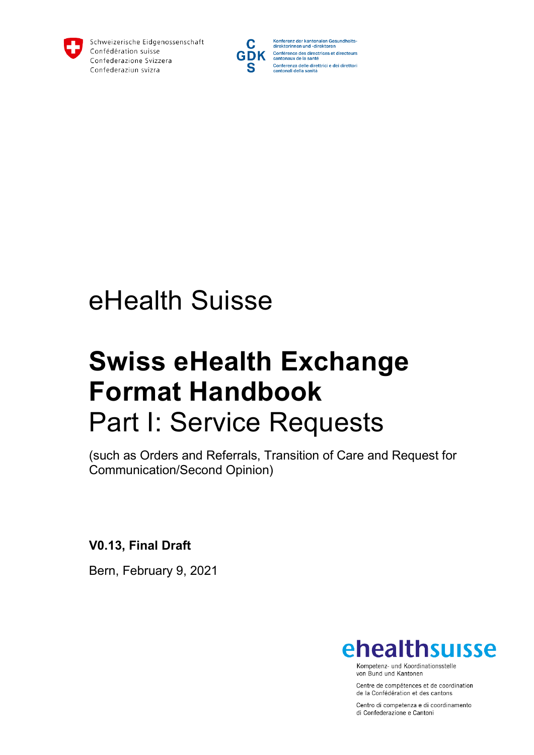

Schweizerische Eidgenossenschaft Confédération suisse Confederazione Svizzera Confederaziun svizra



Konferenz der kantonalen Gesundheits-<br>direktorinnen und -direktoren Conférence des directrices et directeurs<br>cantonaux de la santé Conferenza delle direttrici e dei direttori<br>cantonali della sanità

# eHealth Suisse

# **Swiss eHealth Exchange Format Handbook** Part I: Service Requests

(such as Orders and Referrals, Transition of Care and Request for Communication/Second Opinion)

**V0.13, Final Draft**

Bern, February 9, 2021



Kompetenz- und Koordinationsstelle von Bund und Kantonen

Centre de compétences et de coordination de la Confédération et des cantons

Centro di competenza e di coordinamento di Confederazione e Cantoni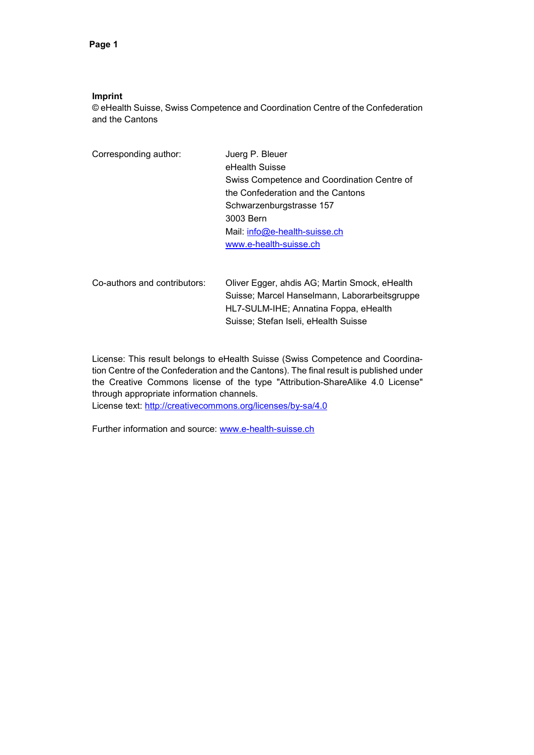#### **Imprint**

© eHealth Suisse, Swiss Competence and Coordination Centre of the Confederation and the Cantons

| Corresponding author: | Juerg P. Bleuer                             |
|-----------------------|---------------------------------------------|
|                       | eHealth Suisse                              |
|                       | Swiss Competence and Coordination Centre of |
|                       | the Confederation and the Cantons           |
|                       | Schwarzenburgstrasse 157                    |
|                       | 3003 Bern                                   |
|                       | Mail: $info@e$ -health-suisse.ch            |
|                       | www.e-health-suisse.ch                      |
|                       |                                             |
|                       |                                             |

Co-authors and contributors: Oliver Egger, ahdis AG; Martin Smock, eHealth Suisse; Marcel Hanselmann, Laborarbeitsgruppe HL7-SULM-IHE; Annatina Foppa, eHealth Suisse; Stefan Iseli, eHealth Suisse

License: This result belongs to eHealth Suisse (Swiss Competence and Coordination Centre of the Confederation and the Cantons). The final result is published under the Creative Commons license of the type "Attribution-ShareAlike 4.0 License" through appropriate information channels.

License text:<http://creativecommons.org/licenses/by-sa/4.0>

Further information and source: [www.e-health-suisse.ch](http://www.e-health-suisse.ch/)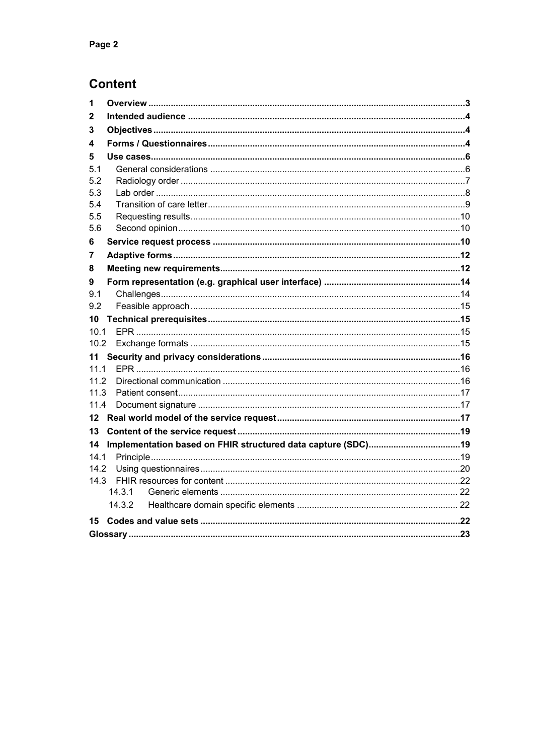### **Content**

| 2<br>3<br>4<br>5<br>5.1<br>5.2<br>5.3<br>5.4<br>5.5<br>5.6<br>6<br>7<br>8<br>9<br>9.1<br>9.2<br>10<br>10.1<br>10.2<br>11<br>11.1<br>11.2<br>11.3<br>11.4<br>$12 \,$<br>13<br>14<br>14.1<br>14.2<br>14.3<br>14.3.1<br>14.3.2<br>15 | 1 |  |  |  |  |
|-----------------------------------------------------------------------------------------------------------------------------------------------------------------------------------------------------------------------------------|---|--|--|--|--|
|                                                                                                                                                                                                                                   |   |  |  |  |  |
|                                                                                                                                                                                                                                   |   |  |  |  |  |
|                                                                                                                                                                                                                                   |   |  |  |  |  |
|                                                                                                                                                                                                                                   |   |  |  |  |  |
|                                                                                                                                                                                                                                   |   |  |  |  |  |
|                                                                                                                                                                                                                                   |   |  |  |  |  |
|                                                                                                                                                                                                                                   |   |  |  |  |  |
|                                                                                                                                                                                                                                   |   |  |  |  |  |
|                                                                                                                                                                                                                                   |   |  |  |  |  |
|                                                                                                                                                                                                                                   |   |  |  |  |  |
|                                                                                                                                                                                                                                   |   |  |  |  |  |
|                                                                                                                                                                                                                                   |   |  |  |  |  |
|                                                                                                                                                                                                                                   |   |  |  |  |  |
|                                                                                                                                                                                                                                   |   |  |  |  |  |
|                                                                                                                                                                                                                                   |   |  |  |  |  |
|                                                                                                                                                                                                                                   |   |  |  |  |  |
|                                                                                                                                                                                                                                   |   |  |  |  |  |
|                                                                                                                                                                                                                                   |   |  |  |  |  |
|                                                                                                                                                                                                                                   |   |  |  |  |  |
|                                                                                                                                                                                                                                   |   |  |  |  |  |
|                                                                                                                                                                                                                                   |   |  |  |  |  |
|                                                                                                                                                                                                                                   |   |  |  |  |  |
|                                                                                                                                                                                                                                   |   |  |  |  |  |
|                                                                                                                                                                                                                                   |   |  |  |  |  |
|                                                                                                                                                                                                                                   |   |  |  |  |  |
|                                                                                                                                                                                                                                   |   |  |  |  |  |
|                                                                                                                                                                                                                                   |   |  |  |  |  |
|                                                                                                                                                                                                                                   |   |  |  |  |  |
|                                                                                                                                                                                                                                   |   |  |  |  |  |
|                                                                                                                                                                                                                                   |   |  |  |  |  |
|                                                                                                                                                                                                                                   |   |  |  |  |  |
|                                                                                                                                                                                                                                   |   |  |  |  |  |
|                                                                                                                                                                                                                                   |   |  |  |  |  |
|                                                                                                                                                                                                                                   |   |  |  |  |  |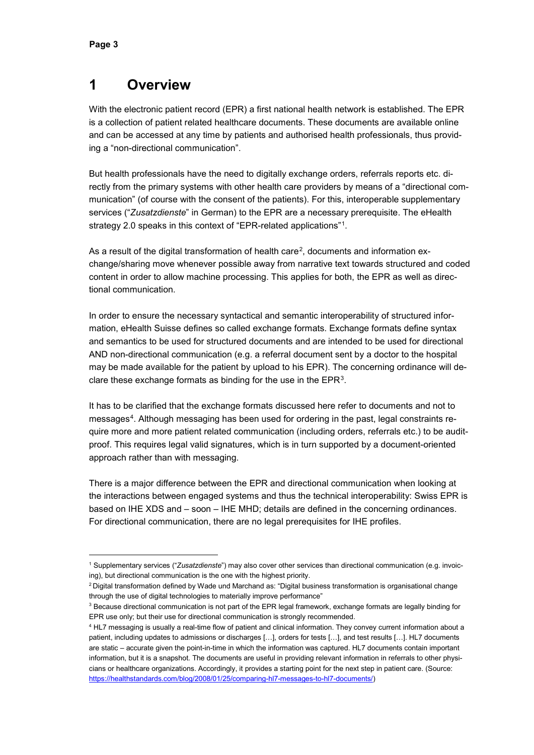### <span id="page-3-0"></span>**1 Overview**

With the electronic patient record (EPR) a first national health network is established. The EPR is a collection of patient related healthcare documents. These documents are available online and can be accessed at any time by patients and authorised health professionals, thus providing a "non-directional communication".

But health professionals have the need to digitally exchange orders, referrals reports etc. directly from the primary systems with other health care providers by means of a "directional communication" (of course with the consent of the patients). For this, interoperable supplementary services ("*Zusatzdienste*" in German) to the EPR are a necessary prerequisite. The eHealth strategy 2.0 speaks in this context of "EPR-related applications"[1.](#page-3-1)

As a result of the digital transformation of health care<sup>[2](#page-3-2)</sup>, documents and information exchange/sharing move whenever possible away from narrative text towards structured and coded content in order to allow machine processing. This applies for both, the EPR as well as directional communication.

In order to ensure the necessary syntactical and semantic interoperability of structured information, eHealth Suisse defines so called exchange formats. Exchange formats define syntax and semantics to be used for structured documents and are intended to be used for directional AND non-directional communication (e.g. a referral document sent by a doctor to the hospital may be made available for the patient by upload to his EPR). The concerning ordinance will declare these exchange formats as binding for the use in the EPR<sup>3</sup>.

It has to be clarified that the exchange formats discussed here refer to documents and not to messages[4.](#page-3-4) Although messaging has been used for ordering in the past, legal constraints require more and more patient related communication (including orders, referrals etc.) to be auditproof. This requires legal valid signatures, which is in turn supported by a document-oriented approach rather than with messaging.

There is a major difference between the EPR and directional communication when looking at the interactions between engaged systems and thus the technical interoperability: Swiss EPR is based on IHE XDS and – soon – IHE MHD; details are defined in the concerning ordinances. For directional communication, there are no legal prerequisites for IHE profiles.

<span id="page-3-1"></span> <sup>1</sup> Supplementary services ("*Zusatzdienste*") may also cover other services than directional communication (e.g. invoicing), but directional communication is the one with the highest priority.

<span id="page-3-2"></span> $2$  Digital transformation defined by Wade und Marchand as: "Digital business transformation is organisational change through the use of digital technologies to materially improve performance"

<span id="page-3-3"></span><sup>&</sup>lt;sup>3</sup> Because directional communication is not part of the EPR legal framework, exchange formats are legally binding for EPR use only; but their use for directional communication is strongly recommended.

<span id="page-3-4"></span><sup>4</sup> HL7 messaging is usually a real-time flow of patient and clinical information. They convey current information about a patient, including updates to admissions or discharges [...], orders for tests [...], and test results [...]. HL7 documents are static – accurate given the point-in-time in which the information was captured. HL7 documents contain important information, but it is a snapshot. The documents are useful in providing relevant information in referrals to other physicians or healthcare organizations. Accordingly, it provides a starting point for the next step in patient care. (Source: [https://healthstandards.com/blog/2008/01/25/comparing-hl7-messages-to-hl7-documents/\)](https://healthstandards.com/blog/2008/01/25/comparing-hl7-messages-to-hl7-documents/)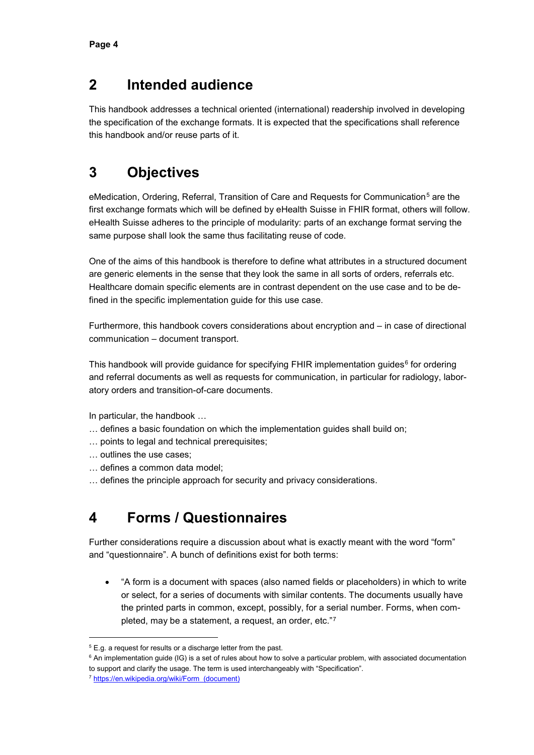### <span id="page-4-0"></span>**2 Intended audience**

This handbook addresses a technical oriented (international) readership involved in developing the specification of the exchange formats. It is expected that the specifications shall reference this handbook and/or reuse parts of it.

# <span id="page-4-1"></span>**3 Objectives**

eMedication, Ordering, Referral, Transition of Care and Requests for Communication<sup>[5](#page-4-3)</sup> are the first exchange formats which will be defined by eHealth Suisse in FHIR format, others will follow. eHealth Suisse adheres to the principle of modularity: parts of an exchange format serving the same purpose shall look the same thus facilitating reuse of code.

One of the aims of this handbook is therefore to define what attributes in a structured document are generic elements in the sense that they look the same in all sorts of orders, referrals etc. Healthcare domain specific elements are in contrast dependent on the use case and to be defined in the specific implementation guide for this use case.

Furthermore, this handbook covers considerations about encryption and – in case of directional communication – document transport.

This handbook will provide guidance for specifying FHIR implementation guides $6$  for ordering and referral documents as well as requests for communication, in particular for radiology, laboratory orders and transition-of-care documents.

In particular, the handbook …

- … defines a basic foundation on which the implementation guides shall build on;
- … points to legal and technical prerequisites;
- … outlines the use cases;
- … defines a common data model;
- <span id="page-4-2"></span>… defines the principle approach for security and privacy considerations.

# **4 Forms / Questionnaires**

Further considerations require a discussion about what is exactly meant with the word "form" and "questionnaire". A bunch of definitions exist for both terms:

• "A form is a [document](https://en.wikipedia.org/wiki/Document) with spaces (also named fields or placeholders) in which to [write](https://en.wikipedia.org/wiki/Writing) or select, for a series of documents with similar contents. The documents usually have the printed parts in common, except, possibly, for a [serial number.](https://en.wikipedia.org/wiki/Serial_number) Forms, when completed, may be a statement, a request, an [order,](https://en.wikipedia.org/wiki/Order_(business)) etc."[7](#page-4-5)

<span id="page-4-3"></span> $5$  E.g. a request for results or a discharge letter from the past.

<span id="page-4-4"></span> $6$  An implementation guide (IG) is a set of rules about how to solve a particular problem, with associated documentation to support and clarify the usage. The term is used interchangeably with "Specification".

<span id="page-4-5"></span><sup>7</sup> [https://en.wikipedia.org/wiki/Form\\_\(document\)](https://en.wikipedia.org/wiki/Form_(document))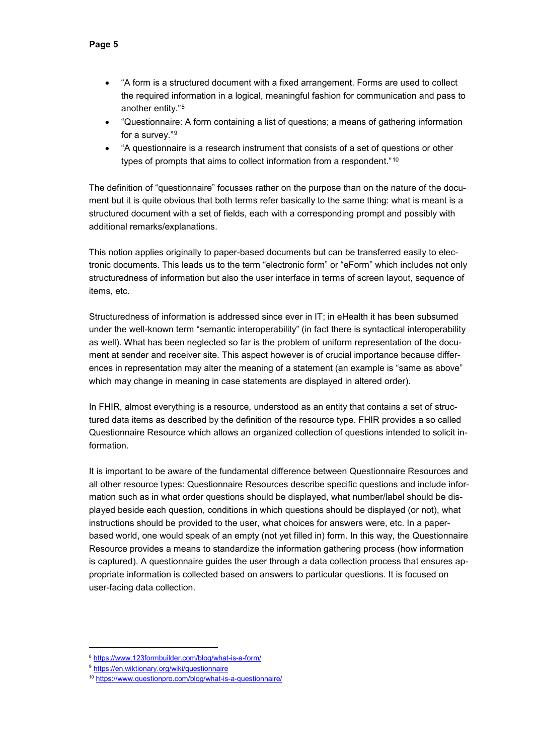- "A form is a structured document with a fixed arrangement. Forms are used to collect the required information in a logical, meaningful fashion for communication and pass to another entity."[8](#page-5-0)
- "Questionnaire: A [form](https://en.wiktionary.org/wiki/form) containing a [list](https://en.wiktionary.org/wiki/list) of [questions;](https://en.wiktionary.org/wiki/question) a means of gathering [information](https://en.wiktionary.org/wiki/information) for a [survey.](https://en.wiktionary.org/wiki/survey)"[9](#page-5-1)
- "A questionnaire is a research instrument that consists of a set of questions or other types of prompts that aims to collect information from a respondent."<sup>[10](#page-5-2)</sup>

The definition of "questionnaire" focusses rather on the purpose than on the nature of the document but it is quite obvious that both terms refer basically to the same thing: what is meant is a structured document with a set of fields, each with a corresponding prompt and possibly with additional remarks/explanations.

This notion applies originally to paper-based documents but can be transferred easily to electronic documents. This leads us to the term "electronic form" or "eForm" which includes not only structuredness of information but also the user interface in terms of screen layout, sequence of items, etc.

Structuredness of information is addressed since ever in IT; in eHealth it has been subsumed under the well-known term "semantic interoperability" (in fact there is syntactical interoperability as well). What has been neglected so far is the problem of uniform representation of the document at sender and receiver site. This aspect however is of crucial importance because differences in representation may alter the meaning of a statement (an example is "same as above" which may change in meaning in case statements are displayed in altered order).

In FHIR, almost everything is a resource, understood as an entity that contains a set of structured data items as described by the definition of the resource type. FHIR provides a so called Questionnaire Resource which allows an organized collection of questions intended to solicit information.

It is important to be aware of the fundamental difference between Questionnaire Resources and all other resource types: Questionnaire Resources describe specific questions and include information such as in what order questions should be displayed, what number/label should be displayed beside each question, conditions in which questions should be displayed (or not), what instructions should be provided to the user, what choices for answers were, etc. In a paperbased world, one would speak of an empty (not yet filled in) form. In this way, the Questionnaire Resource provides a means to standardize the information gathering process (how information is captured). A questionnaire guides the user through a data collection process that ensures appropriate information is collected based on answers to particular questions. It is focused on user-facing data collection.

<span id="page-5-0"></span> <sup>8</sup> <https://www.123formbuilder.com/blog/what-is-a-form/>

<span id="page-5-1"></span><sup>9</sup> <https://en.wiktionary.org/wiki/questionnaire>

<span id="page-5-2"></span><sup>10</sup> <https://www.questionpro.com/blog/what-is-a-questionnaire/>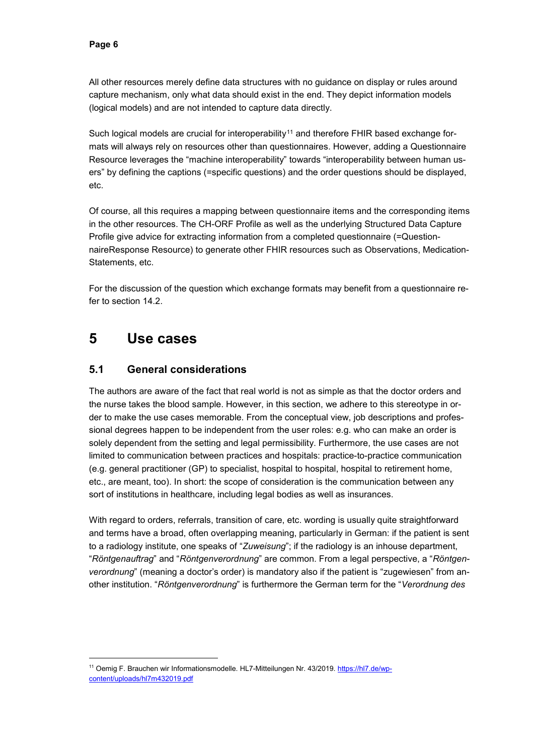All other resources merely define data structures with no guidance on display or rules around capture mechanism, only what data should exist in the end. They depict information models (logical models) and are not intended to capture data directly.

Such logical models are crucial for interoperability<sup>[11](#page-6-2)</sup> and therefore FHIR based exchange formats will always rely on resources other than questionnaires. However, adding a Questionnaire Resource leverages the "machine interoperability" towards "interoperability between human users" by defining the captions (=specific questions) and the order questions should be displayed, etc.

Of course, all this requires a mapping between questionnaire items and the corresponding items in the other resources. The CH-ORF Profile as well as the underlying Structured Data Capture Profile give advice for extracting information from a completed questionnaire (=QuestionnaireResponse Resource) to generate other FHIR resources such as Observations, Medication-Statements, etc.

For the discussion of the question which exchange formats may benefit from a questionnaire refer to section [14.2.](#page-20-0)

### <span id="page-6-0"></span>**5 Use cases**

#### <span id="page-6-1"></span>**5.1 General considerations**

The authors are aware of the fact that real world is not as simple as that the doctor orders and the nurse takes the blood sample. However, in this section, we adhere to this stereotype in order to make the use cases memorable. From the conceptual view, job descriptions and professional degrees happen to be independent from the user roles: e.g. who can make an order is solely dependent from the setting and legal permissibility. Furthermore, the use cases are not limited to communication between practices and hospitals: practice-to-practice communication (e.g. general practitioner (GP) to specialist, hospital to hospital, hospital to retirement home, etc., are meant, too). In short: the scope of consideration is the communication between any sort of institutions in healthcare, including legal bodies as well as insurances.

With regard to orders, referrals, transition of care, etc. wording is usually quite straightforward and terms have a broad, often overlapping meaning, particularly in German: if the patient is sent to a radiology institute, one speaks of "*Zuweisung*"; if the radiology is an inhouse department, "*Röntgenauftrag*" and "*Röntgenverordnung*" are common. From a legal perspective, a "*Röntgenverordnung*" (meaning a doctor's order) is mandatory also if the patient is "zugewiesen" from another institution. "*Röntgenverordnung*" is furthermore the German term for the "*Verordnung des* 

<span id="page-6-2"></span><sup>&</sup>lt;sup>11</sup> Oemig F. Brauchen wir Informationsmodelle. HL7-Mitteilungen Nr. 43/2019[. https://hl7.de/wp](https://hl7.de/wp-content/uploads/hl7m432019.pdf)[content/uploads/hl7m432019.pdf](https://hl7.de/wp-content/uploads/hl7m432019.pdf)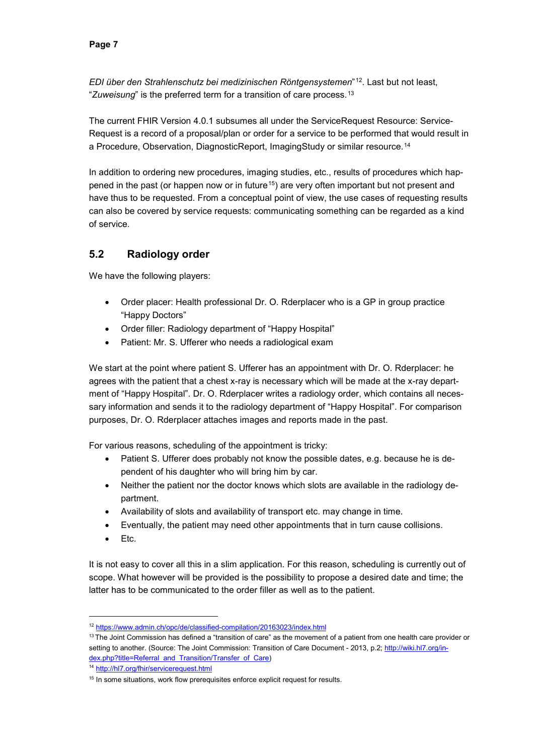*EDI über den Strahlenschutz bei medizinischen Röntgensystemen*"[12.](#page-7-1) Last but not least, "*Zuweisung*" is the preferred term for a transition of care process.[13](#page-7-2)

The current FHIR Version 4.0.1 subsumes all under the ServiceRequest Resource: Service-Request is a record of a proposal/plan or order for a service to be performed that would result in a [Procedure,](http://hl7.org/fhir/procedure.html) [Observation,](http://hl7.org/fhir/observation.html) [DiagnosticReport,](http://hl7.org/fhir/diagnosticreport.html) [ImagingStudy](http://hl7.org/fhir/imagingstudy.html) or similar resource.<sup>[14](#page-7-3)</sup>

In addition to ordering new procedures, imaging studies, etc., results of procedures which hap-pened in the past (or happen now or in future<sup>[15](#page-7-4)</sup>) are very often important but not present and have thus to be requested. From a conceptual point of view, the use cases of requesting results can also be covered by service requests: communicating something can be regarded as a kind of service.

### <span id="page-7-0"></span>**5.2 Radiology order**

We have the following players:

- Order placer: Health professional Dr. O. Rderplacer who is a GP in group practice "Happy Doctors"
- Order filler: Radiology department of "Happy Hospital"
- Patient: Mr. S. Ufferer who needs a radiological exam

We start at the point where patient S. Ufferer has an appointment with Dr. O. Rderplacer: he agrees with the patient that a chest x-ray is necessary which will be made at the x-ray department of "Happy Hospital". Dr. O. Rderplacer writes a radiology order, which contains all necessary information and sends it to the radiology department of "Happy Hospital". For comparison purposes, Dr. O. Rderplacer attaches images and reports made in the past.

For various reasons, scheduling of the appointment is tricky:

- Patient S. Ufferer does probably not know the possible dates, e.g. because he is dependent of his daughter who will bring him by car.
- Neither the patient nor the doctor knows which slots are available in the radiology department.
- Availability of slots and availability of transport etc. may change in time.
- Eventually, the patient may need other appointments that in turn cause collisions.
- Etc.

It is not easy to cover all this in a slim application. For this reason, scheduling is currently out of scope. What however will be provided is the possibility to propose a desired date and time; the latter has to be communicated to the order filler as well as to the patient.

<span id="page-7-3"></span><sup>14</sup> <http://hl7.org/fhir/servicerequest.html>

<span id="page-7-1"></span> <sup>12</sup> <https://www.admin.ch/opc/de/classified-compilation/20163023/index.html>

<span id="page-7-2"></span><sup>&</sup>lt;sup>13</sup> The Joint Commission has defined a "transition of care" as the movement of a patient from one health care provider or setting to another. (Source: The Joint Commission: Transition of Care Document - 2013, p.2[; http://wiki.hl7.org/in](http://wiki.hl7.org/index.php?title=Referral_and_Transition/Transfer_of_Care)[dex.php?title=Referral\\_and\\_Transition/Transfer\\_of\\_Care\)](http://wiki.hl7.org/index.php?title=Referral_and_Transition/Transfer_of_Care)

<span id="page-7-4"></span><sup>&</sup>lt;sup>15</sup> In some situations, work flow prerequisites enforce explicit request for results.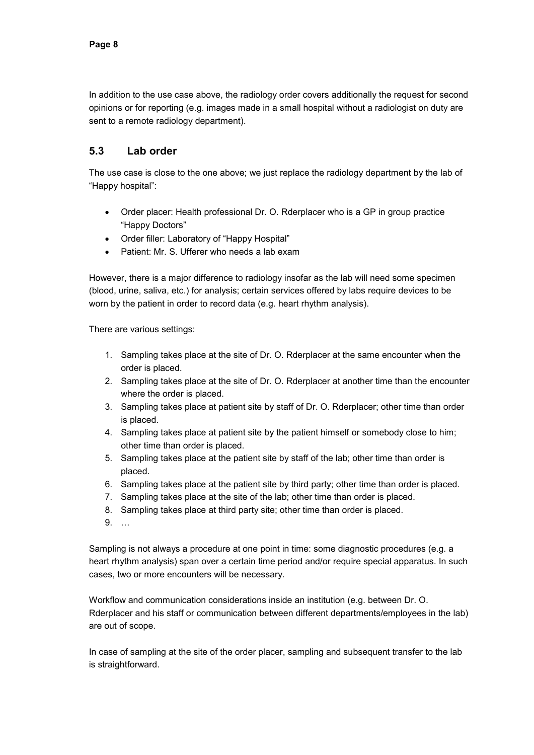In addition to the use case above, the radiology order covers additionally the request for second opinions or for reporting (e.g. images made in a small hospital without a radiologist on duty are sent to a remote radiology department).

#### <span id="page-8-0"></span>**5.3 Lab order**

The use case is close to the one above; we just replace the radiology department by the lab of "Happy hospital":

- Order placer: Health professional Dr. O. Rderplacer who is a GP in group practice "Happy Doctors"
- Order filler: Laboratory of "Happy Hospital"
- Patient: Mr. S. Ufferer who needs a lab exam

However, there is a major difference to radiology insofar as the lab will need some specimen (blood, urine, saliva, etc.) for analysis; certain services offered by labs require devices to be worn by the patient in order to record data (e.g. heart rhythm analysis).

There are various settings:

- 1. Sampling takes place at the site of Dr. O. Rderplacer at the same encounter when the order is placed.
- 2. Sampling takes place at the site of Dr. O. Rderplacer at another time than the encounter where the order is placed.
- 3. Sampling takes place at patient site by staff of Dr. O. Rderplacer; other time than order is placed.
- 4. Sampling takes place at patient site by the patient himself or somebody close to him; other time than order is placed.
- 5. Sampling takes place at the patient site by staff of the lab; other time than order is placed.
- 6. Sampling takes place at the patient site by third party; other time than order is placed.
- 7. Sampling takes place at the site of the lab; other time than order is placed.
- 8. Sampling takes place at third party site; other time than order is placed.
- 9. …

Sampling is not always a procedure at one point in time: some diagnostic procedures (e.g. a heart rhythm analysis) span over a certain time period and/or require special apparatus. In such cases, two or more encounters will be necessary.

Workflow and communication considerations inside an institution (e.g. between Dr. O. Rderplacer and his staff or communication between different departments/employees in the lab) are out of scope.

In case of sampling at the site of the order placer, sampling and subsequent transfer to the lab is straightforward.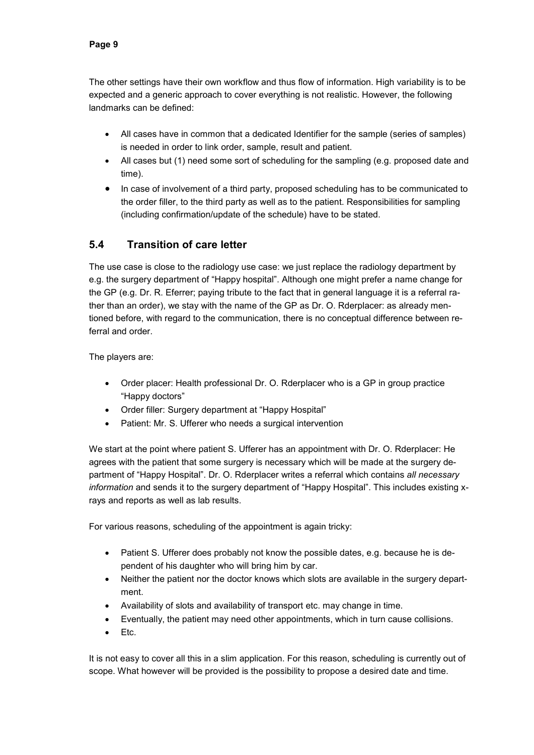The other settings have their own workflow and thus flow of information. High variability is to be expected and a generic approach to cover everything is not realistic. However, the following landmarks can be defined:

- All cases have in common that a dedicated Identifier for the sample (series of samples) is needed in order to link order, sample, result and patient.
- All cases but (1) need some sort of scheduling for the sampling (e.g. proposed date and time).
- In case of involvement of a third party, proposed scheduling has to be communicated to the order filler, to the third party as well as to the patient. Responsibilities for sampling (including confirmation/update of the schedule) have to be stated.

### <span id="page-9-0"></span>**5.4 Transition of care letter**

The use case is close to the radiology use case: we just replace the radiology department by e.g. the surgery department of "Happy hospital". Although one might prefer a name change for the GP (e.g. Dr. R. Eferrer; paying tribute to the fact that in general language it is a referral rather than an order), we stay with the name of the GP as Dr. O. Rderplacer: as already mentioned before, with regard to the communication, there is no conceptual difference between referral and order.

The players are:

- Order placer: Health professional Dr. O. Rderplacer who is a GP in group practice "Happy doctors"
- Order filler: Surgery department at "Happy Hospital"
- Patient: Mr. S. Ufferer who needs a surgical intervention

We start at the point where patient S. Ufferer has an appointment with Dr. O. Rderplacer: He agrees with the patient that some surgery is necessary which will be made at the surgery department of "Happy Hospital". Dr. O. Rderplacer writes a referral which contains *all necessary information* and sends it to the surgery department of "Happy Hospital". This includes existing xrays and reports as well as lab results.

For various reasons, scheduling of the appointment is again tricky:

- Patient S. Ufferer does probably not know the possible dates, e.g. because he is dependent of his daughter who will bring him by car.
- Neither the patient nor the doctor knows which slots are available in the surgery department.
- Availability of slots and availability of transport etc. may change in time.
- Eventually, the patient may need other appointments, which in turn cause collisions.
- Etc.

It is not easy to cover all this in a slim application. For this reason, scheduling is currently out of scope. What however will be provided is the possibility to propose a desired date and time.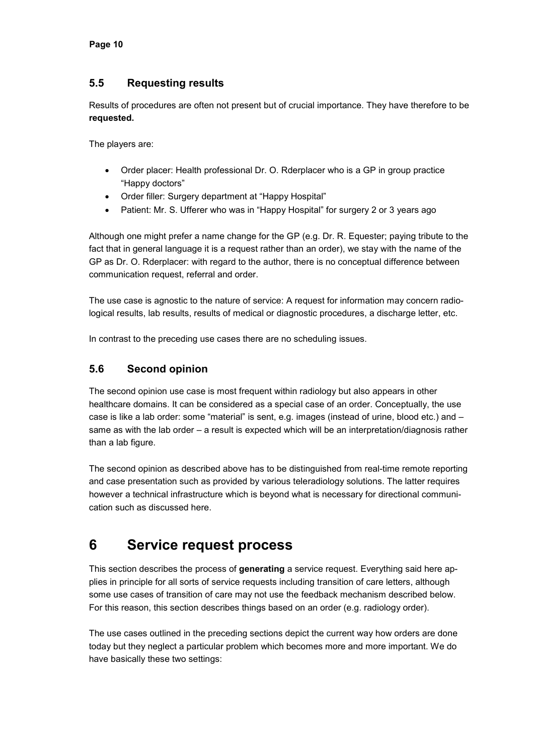#### <span id="page-10-0"></span>**5.5 Requesting results**

Results of procedures are often not present but of crucial importance. They have therefore to be **requested.**

The players are:

- Order placer: Health professional Dr. O. Rderplacer who is a GP in group practice "Happy doctors"
- Order filler: Surgery department at "Happy Hospital"
- Patient: Mr. S. Ufferer who was in "Happy Hospital" for surgery 2 or 3 years ago

Although one might prefer a name change for the GP (e.g. Dr. R. Equester; paying tribute to the fact that in general language it is a request rather than an order), we stay with the name of the GP as Dr. O. Rderplacer: with regard to the author, there is no conceptual difference between communication request, referral and order.

The use case is agnostic to the nature of service: A request for information may concern radiological results, lab results, results of medical or diagnostic procedures, a discharge letter, etc.

<span id="page-10-1"></span>In contrast to the preceding use cases there are no scheduling issues.

### **5.6 Second opinion**

The second opinion use case is most frequent within radiology but also appears in other healthcare domains. It can be considered as a special case of an order. Conceptually, the use case is like a lab order: some "material" is sent, e.g. images (instead of urine, blood etc.) and – same as with the lab order – a result is expected which will be an interpretation/diagnosis rather than a lab figure.

The second opinion as described above has to be distinguished from real-time remote reporting and case presentation such as provided by various teleradiology solutions. The latter requires however a technical infrastructure which is beyond what is necessary for directional communication such as discussed here.

### <span id="page-10-2"></span>**6 Service request process**

This section describes the process of **generating** a service request. Everything said here applies in principle for all sorts of service requests including transition of care letters, although some use cases of transition of care may not use the feedback mechanism described below. For this reason, this section describes things based on an order (e.g. radiology order).

The use cases outlined in the preceding sections depict the current way how orders are done today but they neglect a particular problem which becomes more and more important. We do have basically these two settings: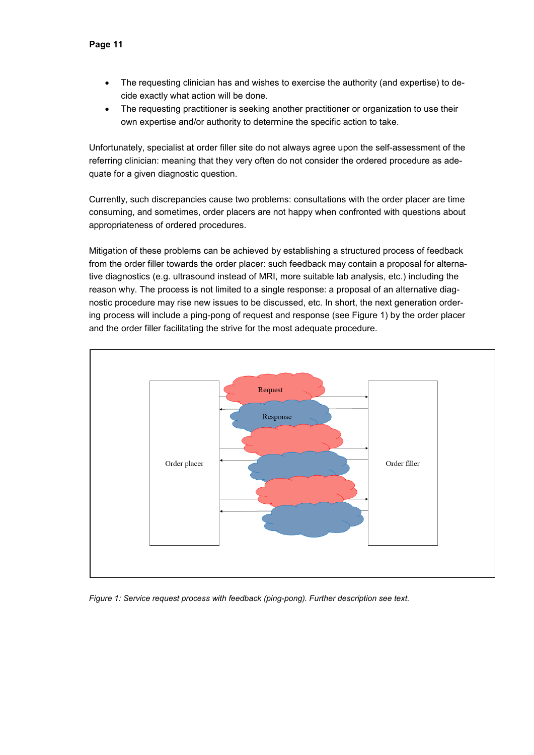- The requesting clinician has and wishes to exercise the authority (and expertise) to decide exactly what action will be done.
- The requesting practitioner is seeking another practitioner or organization to use their own expertise and/or authority to determine the specific action to take.

Unfortunately, specialist at order filler site do not always agree upon the self-assessment of the referring clinician: meaning that they very often do not consider the ordered procedure as adequate for a given diagnostic question.

Currently, such discrepancies cause two problems: consultations with the order placer are time consuming, and sometimes, order placers are not happy when confronted with questions about appropriateness of ordered procedures.

Mitigation of these problems can be achieved by establishing a structured process of feedback from the order filler towards the order placer: such feedback may contain a proposal for alternative diagnostics (e.g. ultrasound instead of MRI, more suitable lab analysis, etc.) including the reason why. The process is not limited to a single response: a proposal of an alternative diagnostic procedure may rise new issues to be discussed, etc. In short, the next generation ordering process will include a ping-pong of request and response (see [Figure 1\)](#page-11-0) by the order placer and the order filler facilitating the strive for the most adequate procedure.



<span id="page-11-0"></span>*Figure 1: Service request process with feedback (ping-pong). Further description see text.*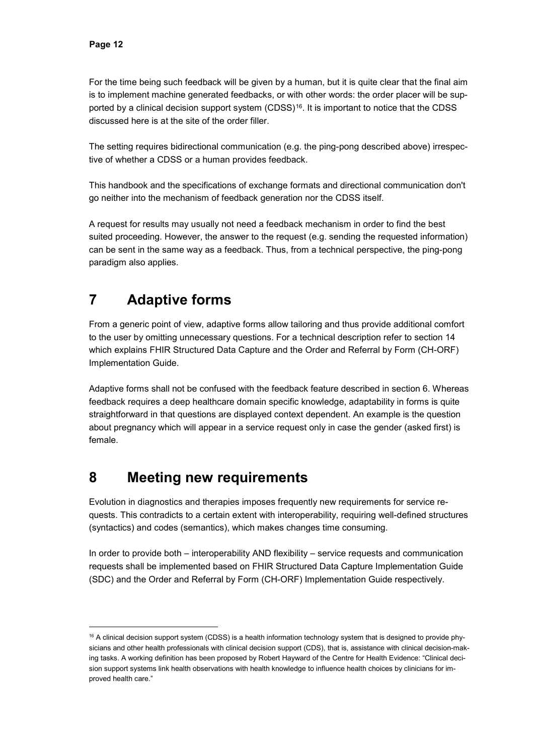For the time being such feedback will be given by a human, but it is quite clear that the final aim is to implement machine generated feedbacks, or with other words: the order placer will be sup-ported by a clinical decision support system (CDSS)<sup>[16](#page-12-2)</sup>. It is important to notice that the CDSS discussed here is at the site of the order filler.

The setting requires bidirectional communication (e.g. the ping-pong described above) irrespective of whether a CDSS or a human provides feedback.

This handbook and the specifications of exchange formats and directional communication don't go neither into the mechanism of feedback generation nor the CDSS itself.

A request for results may usually not need a feedback mechanism in order to find the best suited proceeding. However, the answer to the request (e.g. sending the requested information) can be sent in the same way as a feedback. Thus, from a technical perspective, the ping-pong paradigm also applies.

# <span id="page-12-0"></span>**7 Adaptive forms**

From a generic point of view, adaptive forms allow tailoring and thus provide additional comfort to the user by omitting unnecessary questions. For a technical description refer to section [14](#page-19-1) which explains FHIR Structured Data Capture and the Order and Referral by Form (CH-ORF) Implementation Guide.

Adaptive forms shall not be confused with the feedback feature described in section [6.](#page-10-2) Whereas feedback requires a deep healthcare domain specific knowledge, adaptability in forms is quite straightforward in that questions are displayed context dependent. An example is the question about pregnancy which will appear in a service request only in case the gender (asked first) is female.

### <span id="page-12-1"></span>**8 Meeting new requirements**

Evolution in diagnostics and therapies imposes frequently new requirements for service requests. This contradicts to a certain extent with interoperability, requiring well-defined structures (syntactics) and codes (semantics), which makes changes time consuming.

In order to provide both – interoperability AND flexibility – service requests and communication requests shall be implemented based on FHIR Structured Data Capture Implementation Guide (SDC) and the Order and Referral by Form (CH-ORF) Implementation Guide respectively.

<span id="page-12-2"></span> $16$  A clinical decision support system (CDSS) is a [health information technology](https://en.wikipedia.org/wiki/Health_information_technology) system that is designed to provide [phy](https://en.wikipedia.org/wiki/Physician)[sicians](https://en.wikipedia.org/wiki/Physician) and other health professionals with clinical decision support (CDS), that is, assistance with clinical [decision-mak](https://en.wikipedia.org/wiki/Decision-making)[ing](https://en.wikipedia.org/wiki/Decision-making) tasks. A working definition has been proposed by Robert Hayward of the Centre for Health Evidence: "Clinical decision support systems link health observations with health knowledge to influence health choices by clinicians for improved health care."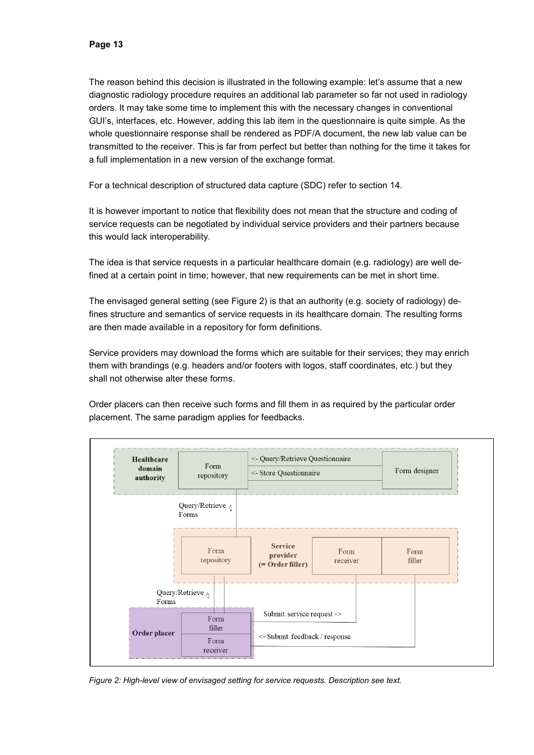The reason behind this decision is illustrated in the following example: let's assume that a new diagnostic radiology procedure requires an additional lab parameter so far not used in radiology orders. It may take some time to implement this with the necessary changes in conventional GUI's, interfaces, etc. However, adding this lab item in the questionnaire is quite simple. As the whole questionnaire response shall be rendered as PDF/A document, the new lab value can be transmitted to the receiver. This is far from perfect but better than nothing for the time it takes for a full implementation in a new version of the exchange format.

For a technical description of structured data capture (SDC) refer to section [14.](#page-19-1)

It is however important to notice that flexibility does not mean that the structure and coding of service requests can be negotiated by individual service providers and their partners because this would lack interoperability.

The idea is that service requests in a particular healthcare domain (e.g. radiology) are well defined at a certain point in time; however, that new requirements can be met in short time.

The envisaged general setting (see [Figure 2\)](#page-13-0) is that an authority (e.g. society of radiology) defines structure and semantics of service requests in its healthcare domain. The resulting forms are then made available in a repository for form definitions.

Service providers may download the forms which are suitable for their services; they may enrich them with brandings (e.g. headers and/or footers with logos, staff coordinates, etc.) but they shall not otherwise alter these forms.

Order placers can then receive such forms and fill them in as required by the particular order placement. The same paradigm applies for feedbacks.



<span id="page-13-0"></span>*Figure 2: High-level view of envisaged setting for service requests. Description see text.*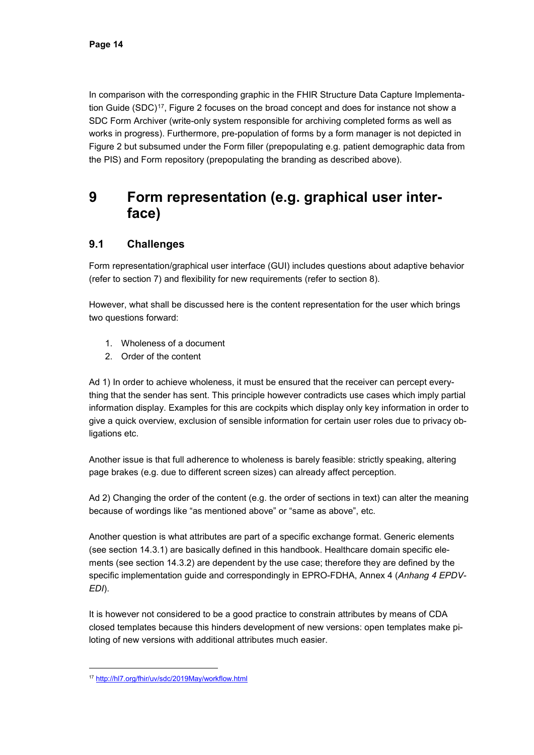In comparison with the corresponding graphic in the FHIR Structure Data Capture Implementa-tion Guide (SDC)<sup>[17](#page-14-2)</sup>, [Figure 2](#page-13-0) focuses on the broad concept and does for instance not show a SDC Form Archiver (write-only system responsible for archiving completed forms as well as works in progress). Furthermore, pre-population of forms by a form manager is not depicted in [Figure 2](#page-13-0) but subsumed under the Form filler (prepopulating e.g. patient demographic data from the PIS) and Form repository (prepopulating the branding as described above).

### <span id="page-14-0"></span>**9 Form representation (e.g. graphical user interface)**

### <span id="page-14-1"></span>**9.1 Challenges**

Form representation/graphical user interface (GUI) includes questions about adaptive behavior (refer to section [7\)](#page-12-0) and flexibility for new requirements (refer to section [8\)](#page-12-1).

However, what shall be discussed here is the content representation for the user which brings two questions forward:

- 1. Wholeness of a document
- 2. Order of the content

Ad 1) In order to achieve wholeness, it must be ensured that the receiver can percept everything that the sender has sent. This principle however contradicts use cases which imply partial information display. Examples for this are cockpits which display only key information in order to give a quick overview, exclusion of sensible information for certain user roles due to privacy obligations etc.

Another issue is that full adherence to wholeness is barely feasible: strictly speaking, altering page brakes (e.g. due to different screen sizes) can already affect perception.

Ad 2) Changing the order of the content (e.g. the order of sections in text) can alter the meaning because of wordings like "as mentioned above" or "same as above", etc.

Another question is what attributes are part of a specific exchange format. Generic elements (see section [14.3.1\)](#page-22-1) are basically defined in this handbook. Healthcare domain specific elements (see section [14.3.2\)](#page-22-2) are dependent by the use case; therefore they are defined by the specific implementation guide and correspondingly in EPRO-FDHA, Annex 4 (*Anhang 4 EPDV-EDI*).

It is however not considered to be a good practice to constrain attributes by means of CDA closed templates because this hinders development of new versions: open templates make piloting of new versions with additional attributes much easier.

<span id="page-14-2"></span> <sup>17</sup> <http://hl7.org/fhir/uv/sdc/2019May/workflow.html>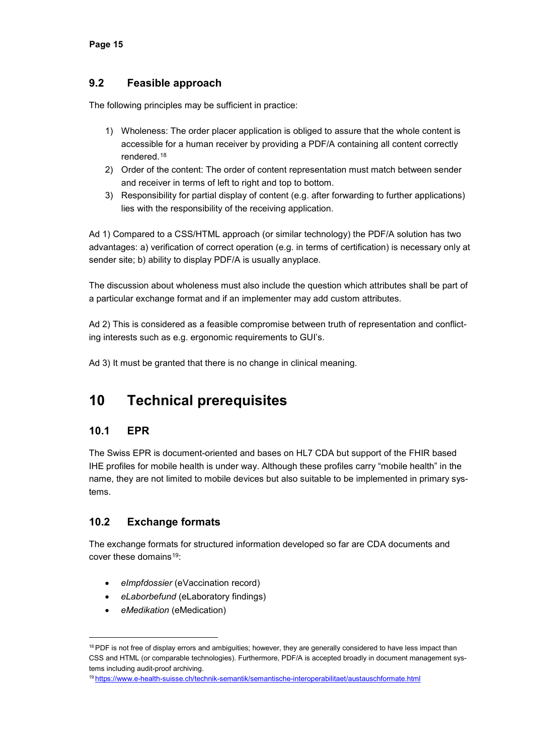#### <span id="page-15-0"></span>**9.2 Feasible approach**

The following principles may be sufficient in practice:

- 1) Wholeness: The order placer application is obliged to assure that the whole content is accessible for a human receiver by providing a PDF/A containing all content correctly rendered.[18](#page-15-4)
- 2) Order of the content: The order of content representation must match between sender and receiver in terms of left to right and top to bottom.
- 3) Responsibility for partial display of content (e.g. after forwarding to further applications) lies with the responsibility of the receiving application.

Ad 1) Compared to a CSS/HTML approach (or similar technology) the PDF/A solution has two advantages: a) verification of correct operation (e.g. in terms of certification) is necessary only at sender site; b) ability to display PDF/A is usually anyplace.

The discussion about wholeness must also include the question which attributes shall be part of a particular exchange format and if an implementer may add custom attributes.

Ad 2) This is considered as a feasible compromise between truth of representation and conflicting interests such as e.g. ergonomic requirements to GUI's.

<span id="page-15-1"></span>Ad 3) It must be granted that there is no change in clinical meaning.

# **10 Technical prerequisites**

### <span id="page-15-2"></span>**10.1 EPR**

The Swiss EPR is document-oriented and bases on HL7 CDA but support of the FHIR based IHE profiles for mobile health is under way. Although these profiles carry "mobile health" in the name, they are not limited to mobile devices but also suitable to be implemented in primary systems.

### <span id="page-15-3"></span>**10.2 Exchange formats**

The exchange formats for structured information developed so far are CDA documents and cover these domains  $19<sup>°</sup>$  $19<sup>°</sup>$ 

- *eImpfdossier* (eVaccination record)
- *eLaborbefund* (eLaboratory findings)
- *eMedikation* (eMedication)

<span id="page-15-4"></span><sup>&</sup>lt;sup>18</sup> PDF is not free of display errors and ambiguities; however, they are generally considered to have less impact than CSS and HTML (or comparable technologies). Furthermore, PDF/A is accepted broadly in document management systems including audit-proof archiving.

<span id="page-15-5"></span><sup>19</sup> <https://www.e-health-suisse.ch/technik-semantik/semantische-interoperabilitaet/austauschformate.html>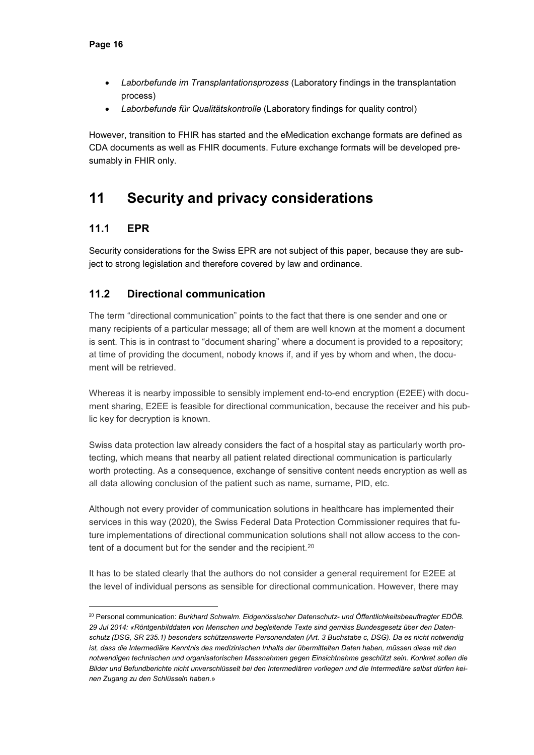- *Laborbefunde im Transplantationsprozess* (Laboratory findings in the transplantation process)
- *Laborbefunde für Qualitätskontrolle* (Laboratory findings for quality control)

However, transition to FHIR has started and the eMedication exchange formats are defined as CDA documents as well as FHIR documents. Future exchange formats will be developed presumably in FHIR only.

# <span id="page-16-0"></span>**11 Security and privacy considerations**

### <span id="page-16-1"></span>**11.1 EPR**

Security considerations for the Swiss EPR are not subject of this paper, because they are subject to strong legislation and therefore covered by law and ordinance.

### <span id="page-16-2"></span>**11.2 Directional communication**

The term "directional communication" points to the fact that there is one sender and one or many recipients of a particular message; all of them are well known at the moment a document is sent. This is in contrast to "document sharing" where a document is provided to a repository; at time of providing the document, nobody knows if, and if yes by whom and when, the document will be retrieved.

Whereas it is nearby impossible to sensibly implement end-to-end encryption (E2EE) with document sharing, E2EE is feasible for directional communication, because the receiver and his public key for decryption is known.

Swiss data protection law already considers the fact of a hospital stay as particularly worth protecting, which means that nearby all patient related directional communication is particularly worth protecting. As a consequence, exchange of sensitive content needs encryption as well as all data allowing conclusion of the patient such as name, surname, PID, etc.

Although not every provider of communication solutions in healthcare has implemented their services in this way (2020), the Swiss Federal Data Protection Commissioner requires that future implementations of directional communication solutions shall not allow access to the con-tent of a document but for the sender and the recipient.<sup>[20](#page-16-3)</sup>

It has to be stated clearly that the authors do not consider a general requirement for E2EE at the level of individual persons as sensible for directional communication. However, there may

<span id="page-16-3"></span> <sup>20</sup> Personal communication: *Burkhard Schwalm. Eidgenössischer Datenschutz- und Öffentlichkeitsbeauftragter EDÖB. 29 Jul 2014: «Röntgenbilddaten von Menschen und begleitende Texte sind gemäss Bundesgesetz über den Datenschutz (DSG, SR 235.1) besonders schützenswerte Personendaten (Art. 3 Buchstabe c, DSG). Da es nicht notwendig ist, dass die Intermediäre Kenntnis des medizinischen Inhalts der übermittelten Daten haben, müssen diese mit den notwendigen technischen und organisatorischen Massnahmen gegen Einsichtnahme geschützt sein. Konkret sollen die Bilder und Befundberichte nicht unverschlüsselt bei den Intermediären vorliegen und die Intermediäre selbst dürfen keinen Zugang zu den Schlüsseln haben.*»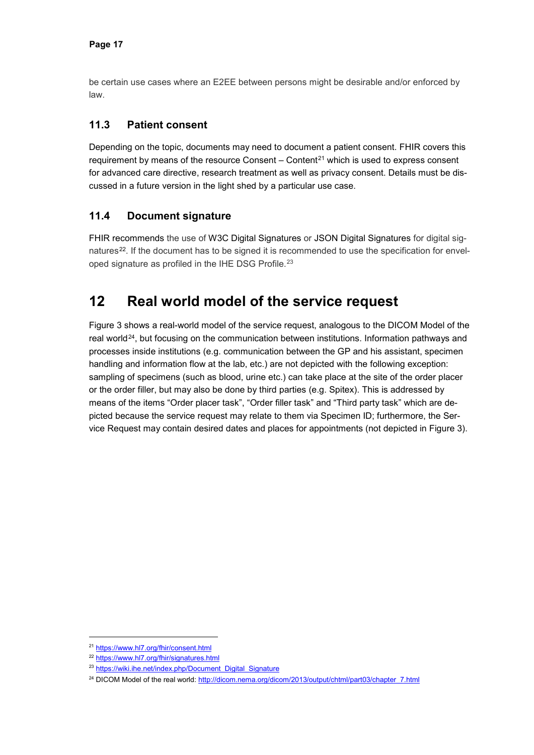be certain use cases where an E2EE between persons might be desirable and/or enforced by law.

#### <span id="page-17-0"></span>**11.3 Patient consent**

Depending on the topic, documents may need to document a patient consent. FHIR covers this requirement by means of the resource Consent  $-$  Content<sup>[21](#page-17-3)</sup> which is used to express consent for advanced care directive, research treatment as well as privacy consent. Details must be discussed in a future version in the light shed by a particular use case.

#### <span id="page-17-1"></span>**11.4 Document signature**

FHIR recommends the use of W3C Digital Signatures or JSON Digital Signatures for digital sig-natures<sup>[22](#page-17-4)</sup>. If the document has to be signed it is recommended to use the specification for envel-oped signature as profiled in the IHE DSG Profile.<sup>[23](#page-17-5)</sup>

### <span id="page-17-2"></span>**12 Real world model of the service request**

[Figure 3](#page-18-0) shows a real-world model of the service request, analogous to the DICOM Model of the real world $24$ , but focusing on the communication between institutions. Information pathways and processes inside institutions (e.g. communication between the GP and his assistant, specimen handling and information flow at the lab, etc.) are not depicted with the following exception: sampling of specimens (such as blood, urine etc.) can take place at the site of the order placer or the order filler, but may also be done by third parties (e.g. Spitex). This is addressed by means of the items "Order placer task", "Order filler task" and "Third party task" which are depicted because the service request may relate to them via Specimen ID; furthermore, the Service Request may contain desired dates and places for appointments (not depicted in [Figure 3\)](#page-18-0).

<span id="page-17-3"></span> <sup>21</sup> <https://www.hl7.org/fhir/consent.html>

<span id="page-17-4"></span><sup>22</sup> <https://www.hl7.org/fhir/signatures.html>

<span id="page-17-5"></span><sup>&</sup>lt;sup>23</sup> [https://wiki.ihe.net/index.php/Document\\_Digital\\_Signature](https://wiki.ihe.net/index.php/Document_Digital_Signature)

<span id="page-17-6"></span><sup>&</sup>lt;sup>24</sup> DICOM Model of the real world: [http://dicom.nema.org/dicom/2013/output/chtml/part03/chapter\\_7.html](http://dicom.nema.org/dicom/2013/output/chtml/part03/chapter_7.html)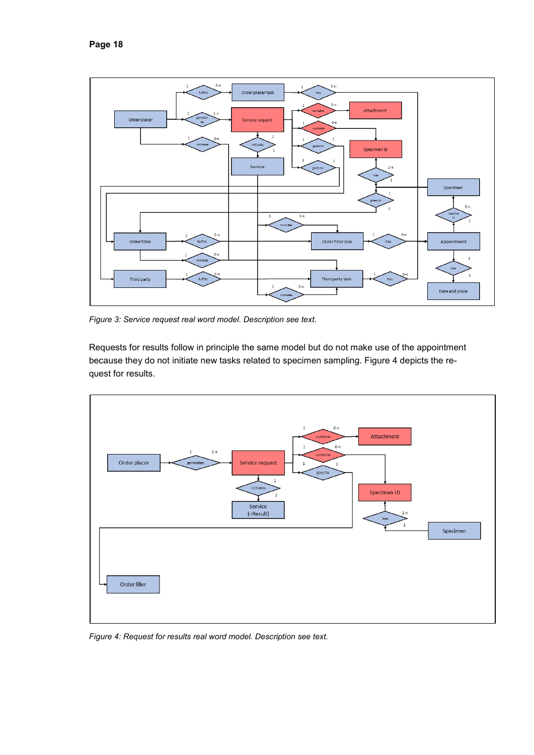

<span id="page-18-0"></span>*Figure 3: Service request real word model. Description see text.*

Requests for results follow in principle the same model but do not make use of the appointment because they do not initiate new tasks related to specimen sampling. [Figure 4](#page-18-1) depicts the request for results.



<span id="page-18-1"></span>*Figure 4: Request for results real word model. Description see text.*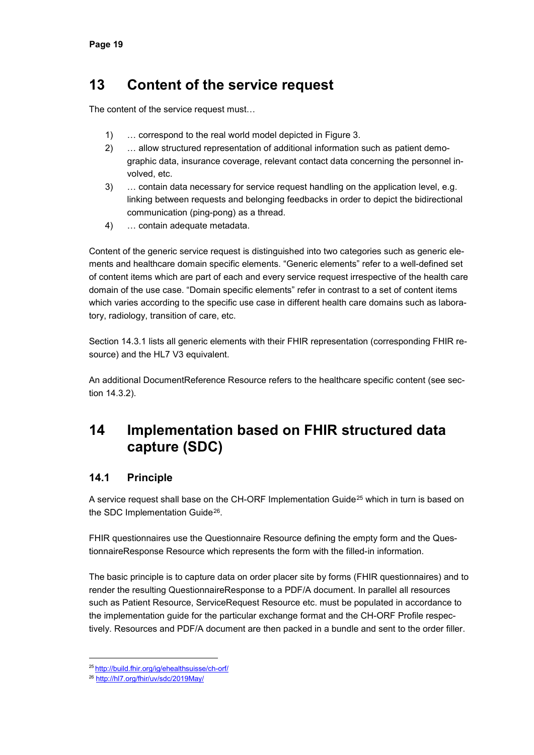### <span id="page-19-0"></span>**13 Content of the service request**

The content of the service request must…

- 1) … correspond to the real world model depicted in [Figure 3.](#page-18-0)
- 2) … allow structured representation of additional information such as patient demographic data, insurance coverage, relevant contact data concerning the personnel involved, etc.
- 3) … contain data necessary for service request handling on the application level, e.g. linking between requests and belonging feedbacks in order to depict the bidirectional communication (ping-pong) as a thread.
- 4) … contain adequate metadata.

Content of the generic service request is distinguished into two categories such as generic elements and healthcare domain specific elements. "Generic elements" refer to a well-defined set of content items which are part of each and every service request irrespective of the health care domain of the use case. "Domain specific elements" refer in contrast to a set of content items which varies according to the specific use case in different health care domains such as laboratory, radiology, transition of care, etc.

Section [14.3.1](#page-22-1) lists all generic elements with their FHIR representation (corresponding FHIR resource) and the HL7 V3 equivalent.

An additional DocumentReference Resource refers to the healthcare specific content (see section [14.3.2\)](#page-22-2).

### <span id="page-19-1"></span>**14 Implementation based on FHIR structured data capture (SDC)**

### <span id="page-19-2"></span>**14.1 Principle**

A service request shall base on the CH-ORF Implementation Guide<sup>[25](#page-19-3)</sup> which in turn is based on the SDC Implementation Guide<sup>[26](#page-19-4)</sup>.

FHIR questionnaires use the Questionnaire Resource defining the empty form and the QuestionnaireResponse Resource which represents the form with the filled-in information.

The basic principle is to capture data on order placer site by forms (FHIR questionnaires) and to render the resulting QuestionnaireResponse to a PDF/A document. In parallel all resources such as Patient Resource, ServiceRequest Resource etc. must be populated in accordance to the implementation guide for the particular exchange format and the CH-ORF Profile respectively. Resources and PDF/A document are then packed in a bundle and sent to the order filler.

 <sup>25</sup> <http://build.fhir.org/ig/ehealthsuisse/ch-orf/>

<span id="page-19-4"></span><span id="page-19-3"></span><sup>26</sup> <http://hl7.org/fhir/uv/sdc/2019May/>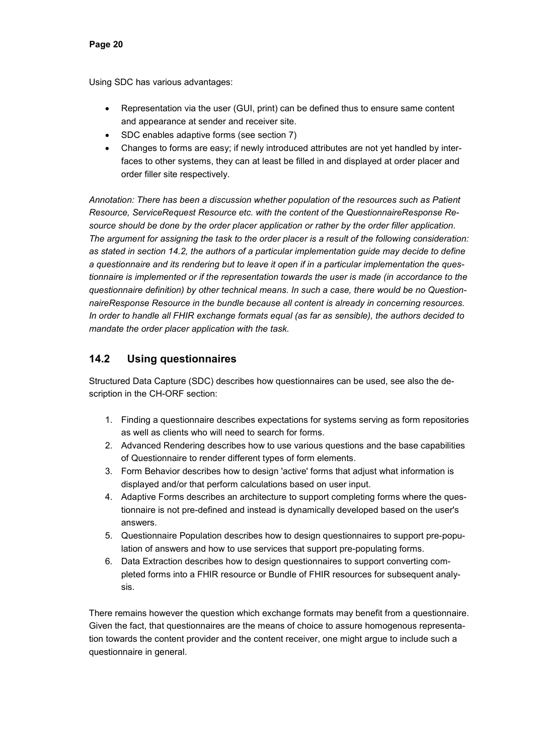Using SDC has various advantages:

- Representation via the user (GUI, print) can be defined thus to ensure same content and appearance at sender and receiver site.
- SDC enables adaptive forms (see section [7\)](#page-12-0)
- Changes to forms are easy; if newly introduced attributes are not yet handled by interfaces to other systems, they can at least be filled in and displayed at order placer and order filler site respectively.

*Annotation: There has been a discussion whether population of the resources such as Patient Resource, ServiceRequest Resource etc. with the content of the QuestionnaireResponse Resource should be done by the order placer application or rather by the order filler application. The argument for assigning the task to the order placer is a result of the following consideration: as stated in section [14.2,](#page-20-0) the authors of a particular implementation guide may decide to define a questionnaire and its rendering but to leave it open if in a particular implementation the questionnaire is implemented or if the representation towards the user is made (in accordance to the questionnaire definition) by other technical means. In such a case, there would be no QuestionnaireResponse Resource in the bundle because all content is already in concerning resources. In order to handle all FHIR exchange formats equal (as far as sensible), the authors decided to mandate the order placer application with the task.*

### <span id="page-20-0"></span>**14.2 Using questionnaires**

Structured Data Capture (SDC) describes how questionnaires can be used, see also the description in the CH-ORF section:

- 1. Finding a questionnaire describes expectations for systems serving as form repositories as well as clients who will need to search for forms.
- 2. Advanced Rendering describes how to use various questions and the base capabilities of Questionnaire to render different types of form elements.
- 3. Form Behavior describes how to design 'active' forms that adjust what information is displayed and/or that perform calculations based on user input.
- 4. Adaptive Forms describes an architecture to support completing forms where the questionnaire is not pre-defined and instead is dynamically developed based on the user's answers.
- 5. Questionnaire Population describes how to design questionnaires to support pre-population of answers and how to use services that support pre-populating forms.
- 6. Data Extraction describes how to design questionnaires to support converting completed forms into a FHIR resource or Bundle of FHIR resources for subsequent analysis.

There remains however the question which exchange formats may benefit from a questionnaire. Given the fact, that questionnaires are the means of choice to assure homogenous representation towards the content provider and the content receiver, one might argue to include such a questionnaire in general.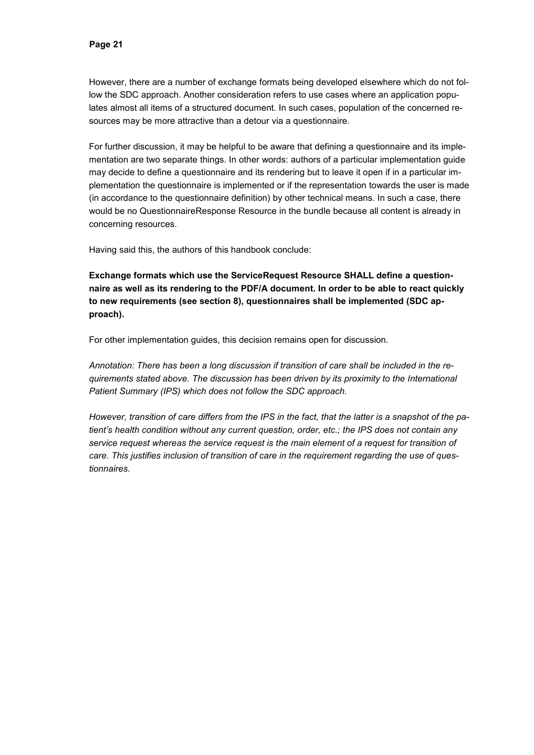However, there are a number of exchange formats being developed elsewhere which do not follow the SDC approach. Another consideration refers to use cases where an application populates almost all items of a structured document. In such cases, population of the concerned resources may be more attractive than a detour via a questionnaire.

For further discussion, it may be helpful to be aware that defining a questionnaire and its implementation are two separate things. In other words: authors of a particular implementation guide may decide to define a questionnaire and its rendering but to leave it open if in a particular implementation the questionnaire is implemented or if the representation towards the user is made (in accordance to the questionnaire definition) by other technical means. In such a case, there would be no QuestionnaireResponse Resource in the bundle because all content is already in concerning resources.

Having said this, the authors of this handbook conclude:

**Exchange formats which use the ServiceRequest Resource SHALL define a questionnaire as well as its rendering to the PDF/A document. In order to be able to react quickly to new requirements (see section [8\)](#page-12-1), questionnaires shall be implemented (SDC approach).**

For other implementation guides, this decision remains open for discussion.

*Annotation: There has been a long discussion if transition of care shall be included in the requirements stated above. The discussion has been driven by its proximity to the International Patient Summary (IPS) which does not follow the SDC approach.*

*However, transition of care differs from the IPS in the fact, that the latter is a snapshot of the patient's health condition without any current question, order, etc.; the IPS does not contain any service request whereas the service request is the main element of a request for transition of care. This justifies inclusion of transition of care in the requirement regarding the use of questionnaires.*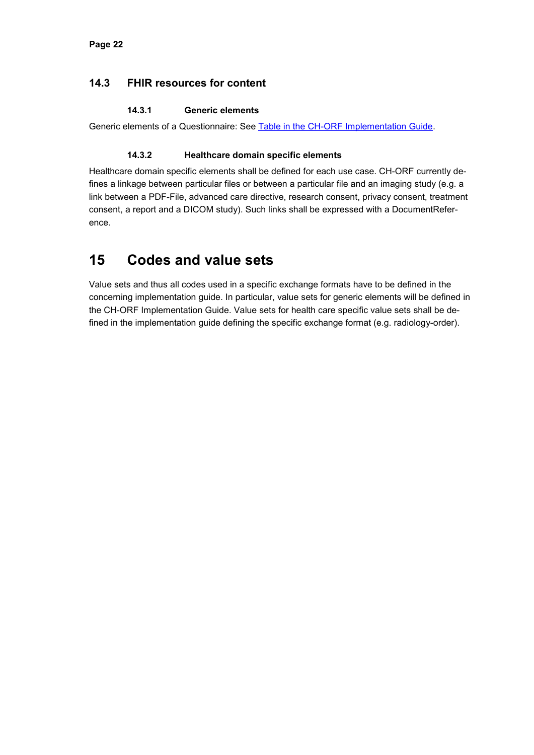#### <span id="page-22-0"></span>**14.3 FHIR resources for content**

#### **14.3.1 Generic elements**

<span id="page-22-2"></span><span id="page-22-1"></span>Generic elements of a Questionnaire: See [Table in the CH-ORF Implementation Guide.](http://build.fhir.org/ig/ehealthsuisse/ch-orf/#generic-elements-of-a-questionnaire)

#### **14.3.2 Healthcare domain specific elements**

Healthcare domain specific elements shall be defined for each use case. CH-ORF currently defines a linkage between particular files or between a particular file and an imaging study (e.g. a link between a PDF-File, advanced care directive, research consent, privacy consent, treatment consent, a report and a DICOM study). Such links shall be expressed with a DocumentReference.

### <span id="page-22-3"></span>**15 Codes and value sets**

Value sets and thus all codes used in a specific exchange formats have to be defined in the concerning implementation guide. In particular, value sets for generic elements will be defined in the CH-ORF Implementation Guide. Value sets for health care specific value sets shall be defined in the implementation guide defining the specific exchange format (e.g. radiology-order).